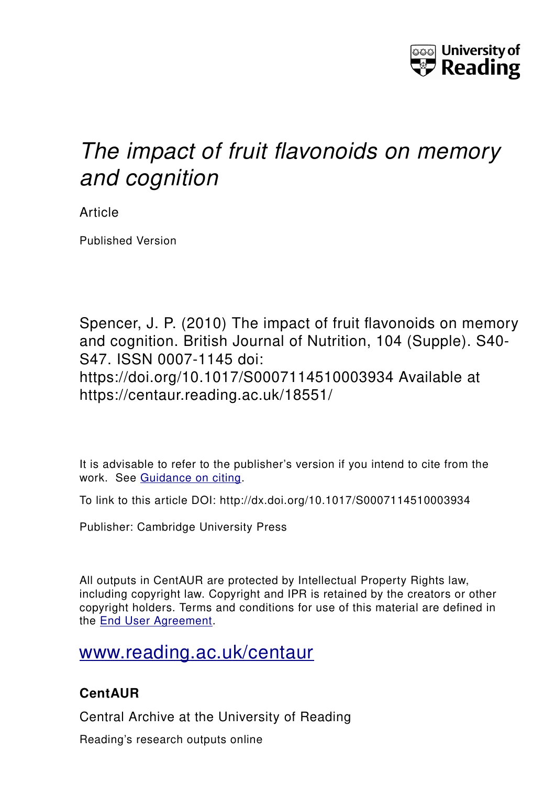

# *The impact of fruit flavonoids on memory and cognition*

Article

Published Version

Spencer, J. P. (2010) The impact of fruit flavonoids on memory and cognition. British Journal of Nutrition, 104 (Supple). S40- S47. ISSN 0007-1145 doi: https://doi.org/10.1017/S0007114510003934 Available at https://centaur.reading.ac.uk/18551/

It is advisable to refer to the publisher's version if you intend to cite from the work. See [Guidance on citing.](http://centaur.reading.ac.uk/71187/10/CentAUR%20citing%20guide.pdf)

To link to this article DOI: http://dx.doi.org/10.1017/S0007114510003934

Publisher: Cambridge University Press

All outputs in CentAUR are protected by Intellectual Property Rights law, including copyright law. Copyright and IPR is retained by the creators or other copyright holders. Terms and conditions for use of this material are defined in the [End User Agreement.](http://centaur.reading.ac.uk/licence)

[www.reading.ac.uk/centaur](http://www.reading.ac.uk/centaur)

## **CentAUR**

Central Archive at the University of Reading

Reading's research outputs online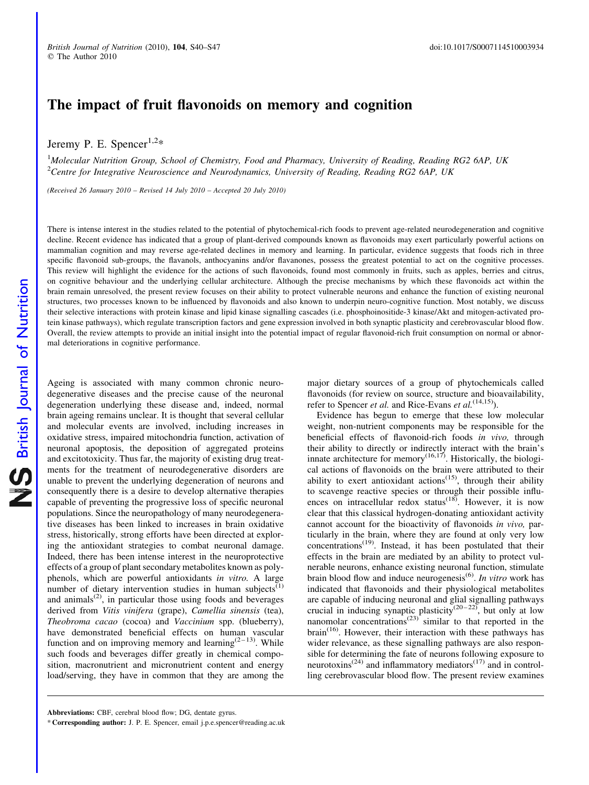### The impact of fruit flavonoids on memory and cognition

Jeremy P. E. Spencer<sup>1,2\*</sup>

<sup>1</sup>Molecular Nutrition Group, School of Chemistry, Food and Pharmacy, University of Reading, Reading RG2 6AP, UK <sup>2</sup> Centre for Integrative Neuroscience and Neurodynamics, University of Reading, Reading RG2 6AP, UK

(Received 26 January 2010 – Revised 14 July 2010 – Accepted 20 July 2010)

There is intense interest in the studies related to the potential of phytochemical-rich foods to prevent age-related neurodegeneration and cognitive decline. Recent evidence has indicated that a group of plant-derived compounds known as flavonoids may exert particularly powerful actions on mammalian cognition and may reverse age-related declines in memory and learning. In particular, evidence suggests that foods rich in three specific flavonoid sub-groups, the flavanols, anthocyanins and/or flavanones, possess the greatest potential to act on the cognitive processes. This review will highlight the evidence for the actions of such flavonoids, found most commonly in fruits, such as apples, berries and citrus, on cognitive behaviour and the underlying cellular architecture. Although the precise mechanisms by which these flavonoids act within the brain remain unresolved, the present review focuses on their ability to protect vulnerable neurons and enhance the function of existing neuronal structures, two processes known to be influenced by flavonoids and also known to underpin neuro-cognitive function. Most notably, we discuss their selective interactions with protein kinase and lipid kinase signalling cascades (i.e. phosphoinositide-3 kinase/Akt and mitogen-activated protein kinase pathways), which regulate transcription factors and gene expression involved in both synaptic plasticity and cerebrovascular blood flow. Overall, the review attempts to provide an initial insight into the potential impact of regular flavonoid-rich fruit consumption on normal or abnormal deteriorations in cognitive performance.

Ageing is associated with many common chronic neurodegenerative diseases and the precise cause of the neuronal degeneration underlying these disease and, indeed, normal brain ageing remains unclear. It is thought that several cellular and molecular events are involved, including increases in oxidative stress, impaired mitochondria function, activation of neuronal apoptosis, the deposition of aggregated proteins and excitotoxicity. Thus far, the majority of existing drug treatments for the treatment of neurodegenerative disorders are unable to prevent the underlying degeneration of neurons and consequently there is a desire to develop alternative therapies capable of preventing the progressive loss of specific neuronal populations. Since the neuropathology of many neurodegenerative diseases has been linked to increases in brain oxidative stress, historically, strong efforts have been directed at exploring the antioxidant strategies to combat neuronal damage. Indeed, there has been intense interest in the neuroprotective effects of a group of plant secondary metabolites known as polyphenols, which are powerful antioxidants in vitro. A large number of dietary intervention studies in human subjects<sup> $(1)$ </sup> and animals<sup> $(2)$ </sup>, in particular those using foods and beverages derived from Vitis vinifera (grape), Camellia sinensis (tea), Theobroma cacao (cocoa) and Vaccinium spp. (blueberry), have demonstrated beneficial effects on human vascular function and on improving memory and learning<sup> $(2-13)$ </sup>. While such foods and beverages differ greatly in chemical composition, macronutrient and micronutrient content and energy load/serving, they have in common that they are among the

Evidence has begun to emerge that these low molecular weight, non-nutrient components may be responsible for the beneficial effects of flavonoid-rich foods in vivo, through their ability to directly or indirectly interact with the brain's innate architecture for memory $(16,17)$ . Historically, the biological actions of flavonoids on the brain were attributed to their ability to exert antioxidant actions<sup> $(15)$ </sup>, through their ability to scavenge reactive species or through their possible influences on intracellular redox status<sup> $(18)$ </sup>. However, it is now clear that this classical hydrogen-donating antioxidant activity cannot account for the bioactivity of flavonoids in vivo, particularly in the brain, where they are found at only very low concentrations<sup>(19)</sup>. Instead, it has been postulated that their effects in the brain are mediated by an ability to protect vulnerable neurons, enhance existing neuronal function, stimulate brain blood flow and induce neurogenesis<sup>(6)</sup>. In vitro work has indicated that flavonoids and their physiological metabolites are capable of inducing neuronal and glial signalling pathways crucial in inducing synaptic plasticity<sup>(20-22)</sup>, but only at low nanomolar concentrations<sup> $(23)$ </sup> similar to that reported in the  $brain<sup>(16)</sup>$ . However, their interaction with these pathways has wider relevance, as these signalling pathways are also responsible for determining the fate of neurons following exposure to neurotoxins<sup> $(24)$ </sup> and inflammatory mediators $(17)$  and in controlling cerebrovascular blood flow. The present review examines

major dietary sources of a group of phytochemicals called flavonoids (for review on source, structure and bioavailability, refer to Spencer et al. and Rice-Evans et al.  $(14,15)$ ).

Abbreviations: CBF, cerebral blood flow; DG, dentate gyrus.

<sup>\*</sup> Corresponding author: J. P. E. Spencer, email j.p.e.spencer@reading.ac.uk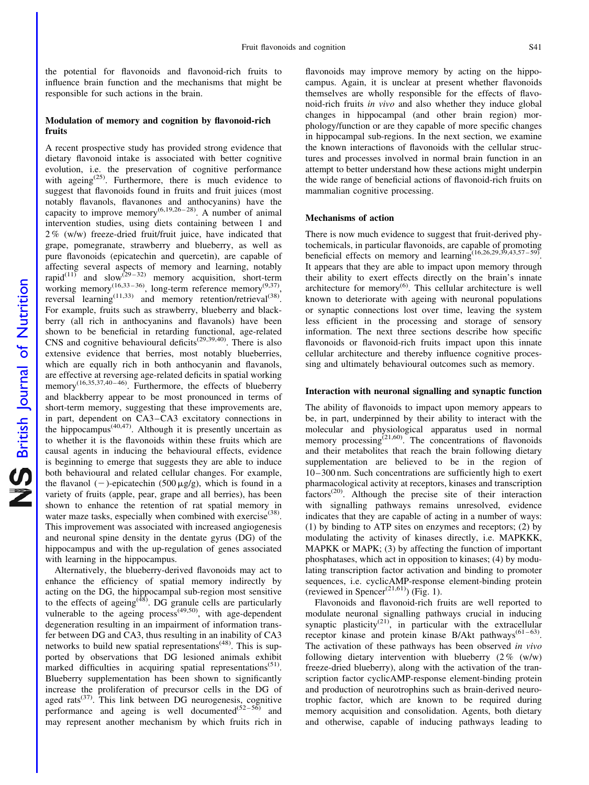the potential for flavonoids and flavonoid-rich fruits to influence brain function and the mechanisms that might be responsible for such actions in the brain.

#### Modulation of memory and cognition by flavonoid-rich fruits

A recent prospective study has provided strong evidence that dietary flavonoid intake is associated with better cognitive evolution, i.e. the preservation of cognitive performance with ageing<sup> $(25)$ </sup>. Furthermore, there is much evidence to suggest that flavonoids found in fruits and fruit juices (most notably flavanols, flavanones and anthocyanins) have the capacity to improve memory $(6,19,26-28)$ . A number of animal intervention studies, using diets containing between 1 and 2 % (w/w) freeze-dried fruit/fruit juice, have indicated that grape, pomegranate, strawberry and blueberry, as well as pure flavonoids (epicatechin and quercetin), are capable of affecting several aspects of memory and learning, notably  $\frac{1}{2}$  and slow<sup>(29-32)</sup> memory acquisition, short-term working memory<sup>(16,33–36)</sup>, long-term reference memory<sup>(9,37)</sup>, reversal learning<sup> $(11,33)$ </sup> and memory retention/retrieval<sup> $(38)$ </sup>. For example, fruits such as strawberry, blueberry and blackberry (all rich in anthocyanins and flavanols) have been shown to be beneficial in retarding functional, age-related CNS and cognitive behavioural deficits<sup> $(29,39,40)$ </sup>. There is also extensive evidence that berries, most notably blueberries, which are equally rich in both anthocyanin and flavanols, are effective at reversing age-related deficits in spatial working memory<sup>(16,35,37,40-46)</sup>. Furthermore, the effects of blueberry and blackberry appear to be most pronounced in terms of short-term memory, suggesting that these improvements are, in part, dependent on CA3–CA3 excitatory connections in the hippocampus<sup> $(40,47)$ </sup>. Although it is presently uncertain as to whether it is the flavonoids within these fruits which are causal agents in inducing the behavioural effects, evidence is beginning to emerge that suggests they are able to induce both behavioural and related cellular changes. For example, the flavanol (-)-epicatechin (500  $\mu$ g/g), which is found in a variety of fruits (apple, pear, grape and all berries), has been shown to enhance the retention of rat spatial memory in water maze tasks, especially when combined with exercise<sup> $(38)$ </sup>. This improvement was associated with increased angiogenesis and neuronal spine density in the dentate gyrus (DG) of the hippocampus and with the up-regulation of genes associated with learning in the hippocampus.

Alternatively, the blueberry-derived flavonoids may act to enhance the efficiency of spatial memory indirectly by acting on the DG, the hippocampal sub-region most sensitive to the effects of ageing<sup> $(48)$ </sup>. DG granule cells are particularly vulnerable to the ageing process<sup>(49,50)</sup>, with age-dependent degeneration resulting in an impairment of information transfer between DG and CA3, thus resulting in an inability of CA3 networks to build new spatial representations<sup>(48)</sup>. This is supported by observations that DG lesioned animals exhibit marked difficulties in acquiring spatial representations<sup> $(51)$ </sup>. Blueberry supplementation has been shown to significantly increase the proliferation of precursor cells in the DG of aged rats $^{(37)}$ . This link between DG neurogenesis, cognitive performance and ageing is well documented<sup>(52-56)</sup> and may represent another mechanism by which fruits rich in flavonoids may improve memory by acting on the hippocampus. Again, it is unclear at present whether flavonoids themselves are wholly responsible for the effects of flavonoid-rich fruits in vivo and also whether they induce global changes in hippocampal (and other brain region) morphology/function or are they capable of more specific changes in hippocampal sub-regions. In the next section, we examine the known interactions of flavonoids with the cellular structures and processes involved in normal brain function in an attempt to better understand how these actions might underpin the wide range of beneficial actions of flavonoid-rich fruits on mammalian cognitive processing.

#### Mechanisms of action

There is now much evidence to suggest that fruit-derived phytochemicals, in particular flavonoids, are capable of promoting beneficial effects on memory and learning<sup> $(16,26,29,39,43,57-59)$ </sup>. It appears that they are able to impact upon memory through their ability to exert effects directly on the brain's innate architecture for memory<sup> $(6)$ </sup>. This cellular architecture is well known to deteriorate with ageing with neuronal populations or synaptic connections lost over time, leaving the system less efficient in the processing and storage of sensory information. The next three sections describe how specific flavonoids or flavonoid-rich fruits impact upon this innate cellular architecture and thereby influence cognitive processing and ultimately behavioural outcomes such as memory.

#### Interaction with neuronal signalling and synaptic function

The ability of flavonoids to impact upon memory appears to be, in part, underpinned by their ability to interact with the molecular and physiological apparatus used in normal memory processing $(21,60)$ . The concentrations of flavonoids and their metabolites that reach the brain following dietary supplementation are believed to be in the region of 10–300 nm. Such concentrations are sufficiently high to exert pharmacological activity at receptors, kinases and transcription factors(20). Although the precise site of their interaction with signalling pathways remains unresolved, evidence indicates that they are capable of acting in a number of ways: (1) by binding to ATP sites on enzymes and receptors; (2) by modulating the activity of kinases directly, i.e. MAPKKK, MAPKK or MAPK; (3) by affecting the function of important phosphatases, which act in opposition to kinases; (4) by modulating transcription factor activation and binding to promoter sequences, i.e. cyclicAMP-response element-binding protein (reviewed in Spencer<sup>(21,61)</sup>) [\(Fig. 1\)](#page-3-0).

Flavonoids and flavonoid-rich fruits are well reported to modulate neuronal signalling pathways crucial in inducing synaptic plasticity<sup>(21)</sup>, in particular with the extracellular receptor kinase and protein kinase B/Akt pathways<sup>(61-63)</sup>. The activation of these pathways has been observed in vivo following dietary intervention with blueberry  $(2\%$  (w/w) freeze-dried blueberry), along with the activation of the transcription factor cyclicAMP-response element-binding protein and production of neurotrophins such as brain-derived neurotrophic factor, which are known to be required during memory acquisition and consolidation. Agents, both dietary and otherwise, capable of inducing pathways leading to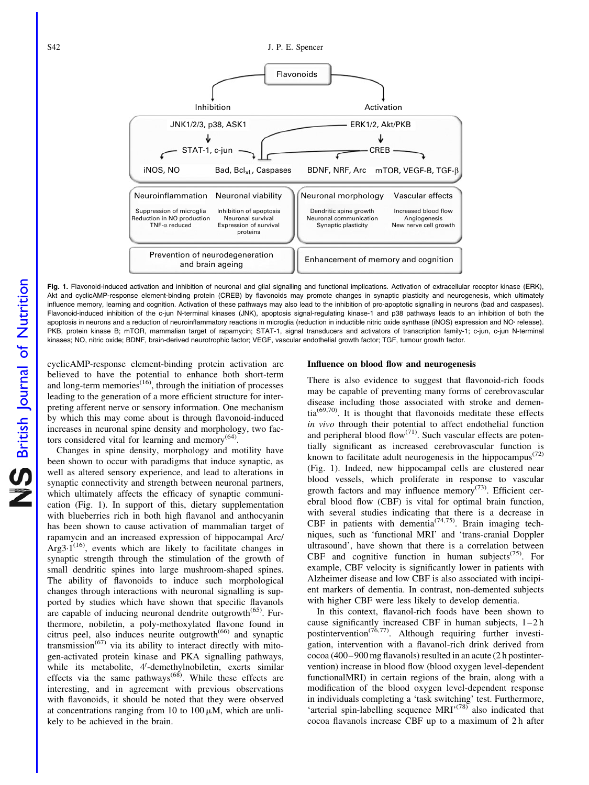<span id="page-3-0"></span>

**S** British Journal of Nutrition British Journal of Nutrition

Fig. 1. Flavonoid-induced activation and inhibition of neuronal and glial signalling and functional implications. Activation of extracellular receptor kinase (ERK), Akt and cyclicAMP-response element-binding protein (CREB) by flavonoids may promote changes in synaptic plasticity and neurogenesis, which ultimately influence memory, learning and cognition. Activation of these pathways may also lead to the inhibition of pro-apoptotic signalling in neurons (bad and caspases). Flavonoid-induced inhibition of the c-jun N-terminal kinases (JNK), apoptosis signal-regulating kinase-1 and p38 pathways leads to an inhibition of both the apoptosis in neurons and a reduction of neuroinflammatory reactions in microglia (reduction in inductible nitric oxide synthase (iNOS) expression and NO· release). PKB, protein kinase B; mTOR, mammalian target of rapamycin; STAT-1, signal transducers and activators of transcription family-1; c-jun, c-jun N-terminal kinases; NO, nitric oxide; BDNF, brain-derived neurotrophic factor; VEGF, vascular endothelial growth factor; TGF, tumour growth factor.

cyclicAMP-response element-binding protein activation are believed to have the potential to enhance both short-term and long-term memories<sup> $(16)$ </sup>, through the initiation of processes leading to the generation of a more efficient structure for interpreting afferent nerve or sensory information. One mechanism by which this may come about is through flavonoid-induced increases in neuronal spine density and morphology, two factors considered vital for learning and memory $(64)$ .

Changes in spine density, morphology and motility have been shown to occur with paradigms that induce synaptic, as well as altered sensory experience, and lead to alterations in synaptic connectivity and strength between neuronal partners, which ultimately affects the efficacy of synaptic communication (Fig. 1). In support of this, dietary supplementation with blueberries rich in both high flavanol and anthocyanin has been shown to cause activation of mammalian target of rapamycin and an increased expression of hippocampal Arc/  $Arg3.1^{(16)}$ , events which are likely to facilitate changes in synaptic strength through the stimulation of the growth of small dendritic spines into large mushroom-shaped spines. The ability of flavonoids to induce such morphological changes through interactions with neuronal signalling is supported by studies which have shown that specific flavanols are capable of inducing neuronal dendrite outgrowth<sup> $(65)$ </sup>. Furthermore, nobiletin, a poly-methoxylated flavone found in citrus peel, also induces neurite outgrowth<sup>(66)</sup> and synaptic transmission<sup> $(67)$ </sup> via its ability to interact directly with mitogen-activated protein kinase and PKA signalling pathways, while its metabolite, 4'-demethylnobiletin, exerts similar effects via the same pathways<sup> $(68)$ </sup>. While these effects are interesting, and in agreement with previous observations with flavonoids, it should be noted that they were observed at concentrations ranging from 10 to 100  $\mu$ M, which are unlikely to be achieved in the brain.

#### Influence on blood flow and neurogenesis

There is also evidence to suggest that flavonoid-rich foods may be capable of preventing many forms of cerebrovascular disease including those associated with stroke and demen $tia^{(69,70)}$ . It is thought that flavonoids meditate these effects in vivo through their potential to affect endothelial function and peripheral blood flow<sup> $(71)$ </sup>. Such vascular effects are potentially significant as increased cerebrovascular function is known to facilitate adult neurogenesis in the hippocampus<sup> $(72)$ </sup> (Fig. 1). Indeed, new hippocampal cells are clustered near blood vessels, which proliferate in response to vascular growth factors and may influence memory<sup>(73)</sup>. Efficient cerebral blood flow (CBF) is vital for optimal brain function, with several studies indicating that there is a decrease in CBF in patients with dementia<sup>(74,75)</sup>. Brain imaging techniques, such as 'functional MRI' and 'trans-cranial Doppler ultrasound', have shown that there is a correlation between CBF and cognitive function in human subjects<sup> $(75)$ </sup>. For example, CBF velocity is significantly lower in patients with Alzheimer disease and low CBF is also associated with incipient markers of dementia. In contrast, non-demented subjects with higher CBF were less likely to develop dementia.

In this context, flavanol-rich foods have been shown to cause significantly increased CBF in human subjects, 1–2 h postintervention<sup> $(76,77)$ </sup>. Although requiring further investigation, intervention with a flavanol-rich drink derived from cocoa (400–900 mg flavanols) resulted in an acute (2 h postintervention) increase in blood flow (blood oxygen level-dependent functionalMRI) in certain regions of the brain, along with a modification of the blood oxygen level-dependent response in individuals completing a 'task switching' test. Furthermore, 'arterial spin-labelling sequence  $MRI'^{(78)}$  also indicated that cocoa flavanols increase CBF up to a maximum of 2 h after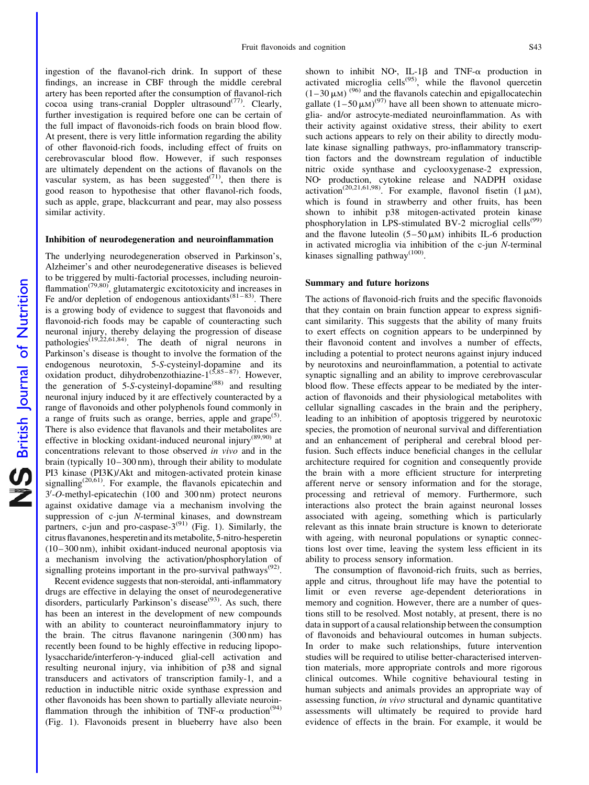ingestion of the flavanol-rich drink. In support of these findings, an increase in CBF through the middle cerebral artery has been reported after the consumption of flavanol-rich  $\overline{\text{coca}}$  using trans-cranial Doppler ultrasound<sup>(77)</sup>. Clearly, further investigation is required before one can be certain of the full impact of flavonoids-rich foods on brain blood flow. At present, there is very little information regarding the ability of other flavonoid-rich foods, including effect of fruits on cerebrovascular blood flow. However, if such responses are ultimately dependent on the actions of flavanols on the vascular system, as has been suggested $^{(71)}$ , then there is good reason to hypothesise that other flavanol-rich foods, such as apple, grape, blackcurrant and pear, may also possess similar activity.

#### Inhibition of neurodegeneration and neuroinflammation

The underlying neurodegeneration observed in Parkinson's, Alzheimer's and other neurodegenerative diseases is believed to be triggered by multi-factorial processes, including neuroinflammation<sup>(79,80)</sup>, glutamatergic excitotoxicity and increases in Fe and/or depletion of endogenous antioxidants<sup>(81-83)</sup>. There is a growing body of evidence to suggest that flavonoids and flavonoid-rich foods may be capable of counteracting such neuronal injury, thereby delaying the progression of disease pathologies<sup> $(19,22,61,84)$ </sup>. The death of nigral neurons in Parkinson's disease is thought to involve the formation of the endogenous neurotoxin, 5-S-cysteinyl-dopamine and its oxidation product, dihydrobenzothiazine- $1^{(5,85-87)}$ . However, the generation of  $5-S$ -cysteinyl-dopamine<sup>(88)</sup> and resulting neuronal injury induced by it are effectively counteracted by a range of flavonoids and other polyphenols found commonly in a range of fruits such as orange, berries, apple and grape<sup> $(5)$ </sup>. There is also evidence that flavanols and their metabolites are effective in blocking oxidant-induced neuronal injury<sup>(89,90)</sup> at concentrations relevant to those observed in vivo and in the brain (typically 10–300 nm), through their ability to modulate PI3 kinase (PI3K)/Akt and mitogen-activated protein kinase signalling<sup> $(20,61)$ </sup>. For example, the flavanols epicatechin and 3'-O-methyl-epicatechin (100 and 300 nm) protect neurons against oxidative damage via a mechanism involving the suppression of c-jun N-terminal kinases, and downstream partners, c-jun and pro-caspase- $3^{(91)}$  [\(Fig. 1](#page-3-0)). Similarly, the citrus flavanones, hesperetin and its metabolite, 5-nitro-hesperetin (10–300 nm), inhibit oxidant-induced neuronal apoptosis via a mechanism involving the activation/phosphorylation of signalling proteins important in the pro-survival pathways<sup> $(92)$ </sup>.

Recent evidence suggests that non-steroidal, anti-inflammatory drugs are effective in delaying the onset of neurodegenerative disorders, particularly Parkinson's disease<sup> $(93)$ </sup>. As such, there has been an interest in the development of new compounds with an ability to counteract neuroinflammatory injury to the brain. The citrus flavanone naringenin (300 nm) has recently been found to be highly effective in reducing lipopolysaccharide/interferon-g-induced glial-cell activation and resulting neuronal injury, via inhibition of p38 and signal transducers and activators of transcription family-1, and a reduction in inductible nitric oxide synthase expression and other flavonoids has been shown to partially alleviate neuroinflammation through the inhibition of TNF- $\alpha$  production<sup>(94)</sup> ([Fig. 1](#page-3-0)). Flavonoids present in blueberry have also been shown to inhibit NO $\cdot$ , IL-1 $\beta$  and TNF- $\alpha$  production in activated microglia cells<sup> $(95)$ </sup>, while the flavonol quercetin  $(1-30 \mu)$  (96) and the flavanols catechin and epigallocatechin gallate  $(1-50 \mu)^{(97)}$  have all been shown to attenuate microglia- and/or astrocyte-mediated neuroinflammation. As with their activity against oxidative stress, their ability to exert such actions appears to rely on their ability to directly modulate kinase signalling pathways, pro-inflammatory transcription factors and the downstream regulation of inductible nitric oxide synthase and cyclooxygenase-2 expression, NO<sup>t</sup> production, cytokine release and NADPH oxidase activation<sup>(20,21,61,98)</sup>. For example, flavonol fisetin (1  $\mu$ M), which is found in strawberry and other fruits, has been shown to inhibit p38 mitogen-activated protein kinase phosphorylation in LPS-stimulated BV-2 microglial cells<sup>(99)</sup> and the flavone luteolin  $(5-50 \mu M)$  inhibits IL-6 production in activated microglia via inhibition of the c-jun N-terminal kinases signalling pathway $(100)$ .

#### Summary and future horizons

The actions of flavonoid-rich fruits and the specific flavonoids that they contain on brain function appear to express significant similarity. This suggests that the ability of many fruits to exert effects on cognition appears to be underpinned by their flavonoid content and involves a number of effects, including a potential to protect neurons against injury induced by neurotoxins and neuroinflammation, a potential to activate synaptic signalling and an ability to improve cerebrovascular blood flow. These effects appear to be mediated by the interaction of flavonoids and their physiological metabolites with cellular signalling cascades in the brain and the periphery, leading to an inhibition of apoptosis triggered by neurotoxic species, the promotion of neuronal survival and differentiation and an enhancement of peripheral and cerebral blood perfusion. Such effects induce beneficial changes in the cellular architecture required for cognition and consequently provide the brain with a more efficient structure for interpreting afferent nerve or sensory information and for the storage, processing and retrieval of memory. Furthermore, such interactions also protect the brain against neuronal losses associated with ageing, something which is particularly relevant as this innate brain structure is known to deteriorate with ageing, with neuronal populations or synaptic connections lost over time, leaving the system less efficient in its ability to process sensory information.

The consumption of flavonoid-rich fruits, such as berries, apple and citrus, throughout life may have the potential to limit or even reverse age-dependent deteriorations in memory and cognition. However, there are a number of questions still to be resolved. Most notably, at present, there is no data in support of a causal relationship between the consumption of flavonoids and behavioural outcomes in human subjects. In order to make such relationships, future intervention studies will be required to utilise better-characterised intervention materials, more appropriate controls and more rigorous clinical outcomes. While cognitive behavioural testing in human subjects and animals provides an appropriate way of assessing function, in vivo structural and dynamic quantitative assessments will ultimately be required to provide hard evidence of effects in the brain. For example, it would be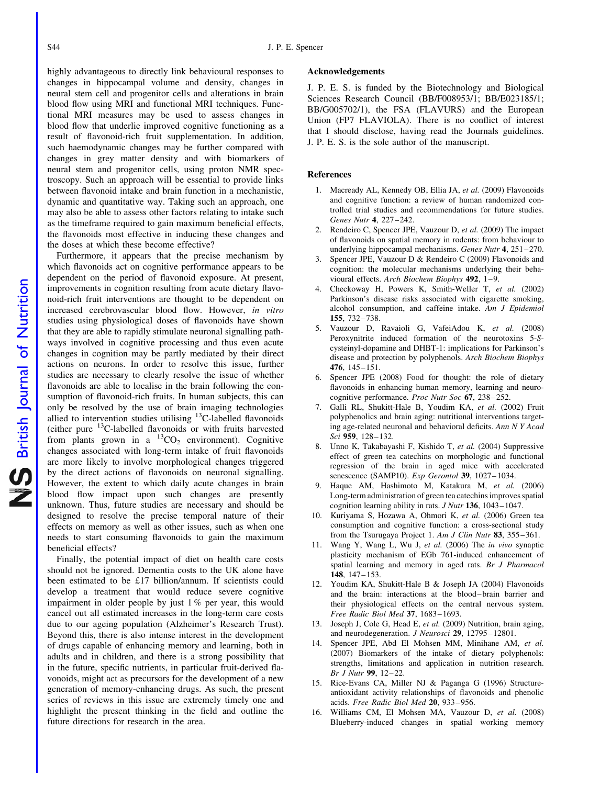highly advantageous to directly link behavioural responses to changes in hippocampal volume and density, changes in neural stem cell and progenitor cells and alterations in brain blood flow using MRI and functional MRI techniques. Functional MRI measures may be used to assess changes in blood flow that underlie improved cognitive functioning as a result of flavonoid-rich fruit supplementation. In addition, such haemodynamic changes may be further compared with changes in grey matter density and with biomarkers of neural stem and progenitor cells, using proton NMR spectroscopy. Such an approach will be essential to provide links between flavonoid intake and brain function in a mechanistic, dynamic and quantitative way. Taking such an approach, one may also be able to assess other factors relating to intake such as the timeframe required to gain maximum beneficial effects, the flavonoids most effective in inducing these changes and the doses at which these become effective?

Furthermore, it appears that the precise mechanism by which flavonoids act on cognitive performance appears to be dependent on the period of flavonoid exposure. At present, improvements in cognition resulting from acute dietary flavonoid-rich fruit interventions are thought to be dependent on increased cerebrovascular blood flow. However, in vitro studies using physiological doses of flavonoids have shown that they are able to rapidly stimulate neuronal signalling pathways involved in cognitive processing and thus even acute changes in cognition may be partly mediated by their direct actions on neurons. In order to resolve this issue, further studies are necessary to clearly resolve the issue of whether flavonoids are able to localise in the brain following the consumption of flavonoid-rich fruits. In human subjects, this can only be resolved by the use of brain imaging technologies allied to intervention studies utilising  $13C$ -labelled flavonoids (either pure 13C-labelled flavonoids or with fruits harvested from plants grown in a  ${}^{13}CO_2$  environment). Cognitive changes associated with long-term intake of fruit flavonoids are more likely to involve morphological changes triggered by the direct actions of flavonoids on neuronal signalling. However, the extent to which daily acute changes in brain blood flow impact upon such changes are presently unknown. Thus, future studies are necessary and should be designed to resolve the precise temporal nature of their effects on memory as well as other issues, such as when one needs to start consuming flavonoids to gain the maximum beneficial effects?

Finally, the potential impact of diet on health care costs should not be ignored. Dementia costs to the UK alone have been estimated to be £17 billion/annum. If scientists could develop a treatment that would reduce severe cognitive impairment in older people by just 1 % per year, this would cancel out all estimated increases in the long-term care costs due to our ageing population (Alzheimer's Research Trust). Beyond this, there is also intense interest in the development of drugs capable of enhancing memory and learning, both in adults and in children, and there is a strong possibility that in the future, specific nutrients, in particular fruit-derived flavonoids, might act as precursors for the development of a new generation of memory-enhancing drugs. As such, the present series of reviews in this issue are extremely timely one and highlight the present thinking in the field and outline the future directions for research in the area.

#### Acknowledgements

J. P. E. S. is funded by the Biotechnology and Biological Sciences Research Council (BB/F008953/1; BB/E023185/1; BB/G005702/1), the FSA (FLAVURS) and the European Union (FP7 FLAVIOLA). There is no conflict of interest that I should disclose, having read the Journals guidelines. J. P. E. S. is the sole author of the manuscript.

#### References

- 1. Macready AL, Kennedy OB, Ellia JA, et al. (2009) Flavonoids and cognitive function: a review of human randomized controlled trial studies and recommendations for future studies. Genes Nutr 4, 227–242.
- 2. Rendeiro C, Spencer JPE, Vauzour D, et al. (2009) The impact of flavonoids on spatial memory in rodents: from behaviour to underlying hippocampal mechanisms. Genes Nutr 4, 251-270.
- 3. Spencer JPE, Vauzour D & Rendeiro C (2009) Flavonoids and cognition: the molecular mechanisms underlying their behavioural effects. Arch Biochem Biophys 492, 1–9.
- 4. Checkoway H, Powers K, Smith-Weller T, et al. (2002) Parkinson's disease risks associated with cigarette smoking, alcohol consumption, and caffeine intake. Am J Epidemiol 155, 732–738.
- 5. Vauzour D, Ravaioli G, VafeiAdou K, et al. (2008) Peroxynitrite induced formation of the neurotoxins 5-Scysteinyl-dopamine and DHBT-1: implications for Parkinson's disease and protection by polyphenols. Arch Biochem Biophys 476, 145–151.
- 6. Spencer JPE (2008) Food for thought: the role of dietary flavonoids in enhancing human memory, learning and neurocognitive performance. Proc Nutr Soc 67, 238–252.
- 7. Galli RL, Shukitt-Hale B, Youdim KA, et al. (2002) Fruit polyphenolics and brain aging: nutritional interventions targeting age-related neuronal and behavioral deficits. Ann N Y Acad Sci 959, 128–132.
- 8. Unno K, Takabayashi F, Kishido T, et al. (2004) Suppressive effect of green tea catechins on morphologic and functional regression of the brain in aged mice with accelerated senescence (SAMP10). Exp Gerontol 39, 1027–1034.
- 9. Haque AM, Hashimoto M, Katakura M, et al. (2006) Long-term administration of green tea catechins improves spatial cognition learning ability in rats. J Nutr 136, 1043–1047.
- 10. Kuriyama S, Hozawa A, Ohmori K, et al. (2006) Green tea consumption and cognitive function: a cross-sectional study from the Tsurugaya Project 1. Am J Clin Nutr 83, 355-361.
- 11. Wang Y, Wang L, Wu J, et al. (2006) The in vivo synaptic plasticity mechanism of EGb 761-induced enhancement of spatial learning and memory in aged rats. Br J Pharmacol 148, 147–153.
- 12. Youdim KA, Shukitt-Hale B & Joseph JA (2004) Flavonoids and the brain: interactions at the blood–brain barrier and their physiological effects on the central nervous system. Free Radic Biol Med 37, 1683–1693.
- 13. Joseph J, Cole G, Head E, et al. (2009) Nutrition, brain aging, and neurodegeneration. J Neurosci 29, 12795–12801.
- 14. Spencer JPE, Abd El Mohsen MM, Minihane AM, et al. (2007) Biomarkers of the intake of dietary polyphenols: strengths, limitations and application in nutrition research. Br J Nutr 99, 12–22.
- 15. Rice-Evans CA, Miller NJ & Paganga G (1996) Structureantioxidant activity relationships of flavonoids and phenolic acids. Free Radic Biol Med 20, 933–956.
- 16. Williams CM, El Mohsen MA, Vauzour D, et al. (2008) Blueberry-induced changes in spatial working memory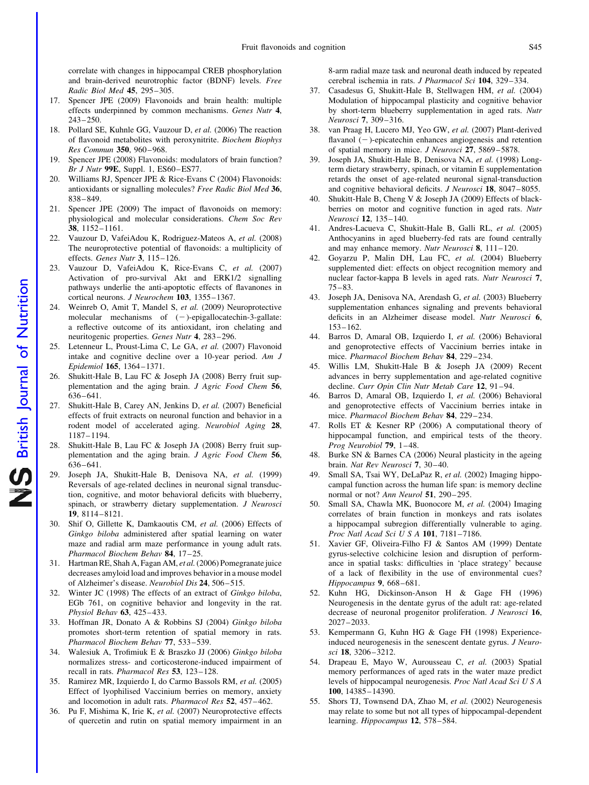correlate with changes in hippocampal CREB phosphorylation and brain-derived neurotrophic factor (BDNF) levels. Free Radic Biol Med 45, 295–305.

- 17. Spencer JPE (2009) Flavonoids and brain health: multiple effects underpinned by common mechanisms. Genes Nutr 4, 243–250.
- 18. Pollard SE, Kuhnle GG, Vauzour D, et al. (2006) The reaction of flavonoid metabolites with peroxynitrite. Biochem Biophys Res Commun 350, 960–968.
- 19. Spencer JPE (2008) Flavonoids: modulators of brain function? Br J Nutr 99E, Suppl. 1, ES60–ES77.
- 20. Williams RJ, Spencer JPE & Rice-Evans C (2004) Flavonoids: antioxidants or signalling molecules? Free Radic Biol Med 36, 838–849.
- 21. Spencer JPE (2009) The impact of flavonoids on memory: physiological and molecular considerations. Chem Soc Rev 38, 1152–1161.
- 22. Vauzour D, VafeiAdou K, Rodriguez-Mateos A, et al. (2008) The neuroprotective potential of flavonoids: a multiplicity of effects. Genes Nutr 3, 115–126.
- 23. Vauzour D, VafeiAdou K, Rice-Evans C, et al. (2007) Activation of pro-survival Akt and ERK1/2 signalling pathways underlie the anti-apoptotic effects of flavanones in cortical neurons. J Neurochem 103, 1355–1367.
- 24. Weinreb O, Amit T, Mandel S, et al. (2009) Neuroprotective molecular mechanisms of  $(-)$ -epigallocatechin-3-gallate: a reflective outcome of its antioxidant, iron chelating and neuritogenic properties. Genes Nutr 4, 283–296.
- 25. Letenneur L, Proust-Lima C, Le GA, et al. (2007) Flavonoid intake and cognitive decline over a 10-year period. Am J Epidemiol 165, 1364–1371.
- 26. Shukitt-Hale B, Lau FC & Joseph JA (2008) Berry fruit supplementation and the aging brain. J Agric Food Chem 56, 636–641.
- 27. Shukitt-Hale B, Carey AN, Jenkins D, et al. (2007) Beneficial effects of fruit extracts on neuronal function and behavior in a rodent model of accelerated aging. Neurobiol Aging 28, 1187–1194.
- 28. Shukitt-Hale B, Lau FC & Joseph JA (2008) Berry fruit supplementation and the aging brain. J Agric Food Chem 56, 636–641.
- 29. Joseph JA, Shukitt-Hale B, Denisova NA, et al. (1999) Reversals of age-related declines in neuronal signal transduction, cognitive, and motor behavioral deficits with blueberry, spinach, or strawberry dietary supplementation. J Neurosci 19, 8114–8121.
- 30. Shif O, Gillette K, Damkaoutis CM, et al. (2006) Effects of Ginkgo biloba administered after spatial learning on water maze and radial arm maze performance in young adult rats. Pharmacol Biochem Behav 84, 17–25.
- 31. Hartman RE, Shah A, Fagan AM, et al.(2006) Pomegranate juice decreases amyloid load and improves behavior in a mouse model of Alzheimer's disease. Neurobiol Dis 24, 506–515.
- 32. Winter JC (1998) The effects of an extract of Ginkgo biloba, EGb 761, on cognitive behavior and longevity in the rat. Physiol Behav 63, 425–433.
- 33. Hoffman JR, Donato A & Robbins SJ (2004) Ginkgo biloba promotes short-term retention of spatial memory in rats. Pharmacol Biochem Behav 77, 533–539.
- 34. Walesiuk A, Trofimiuk E & Braszko JJ (2006) Ginkgo biloba normalizes stress- and corticosterone-induced impairment of recall in rats. Pharmacol Res 53, 123–128.
- 35. Ramirez MR, Izquierdo I, do Carmo Bassols RM, et al. (2005) Effect of lyophilised Vaccinium berries on memory, anxiety and locomotion in adult rats. Pharmacol Res 52, 457–462.
- 36. Pu F, Mishima K, Irie K, et al. (2007) Neuroprotective effects of quercetin and rutin on spatial memory impairment in an

8-arm radial maze task and neuronal death induced by repeated cerebral ischemia in rats. J Pharmacol Sci 104, 329–334.

- 37. Casadesus G, Shukitt-Hale B, Stellwagen HM, et al. (2004) Modulation of hippocampal plasticity and cognitive behavior by short-term blueberry supplementation in aged rats. Nutr Neurosci 7, 309–316.
- 38. van Praag H, Lucero MJ, Yeo GW, et al. (2007) Plant-derived flavanol  $(-)$ -epicatechin enhances angiogenesis and retention of spatial memory in mice. J Neurosci 27, 5869–5878.
- 39. Joseph JA, Shukitt-Hale B, Denisova NA, et al. (1998) Longterm dietary strawberry, spinach, or vitamin E supplementation retards the onset of age-related neuronal signal-transduction and cognitive behavioral deficits. J Neurosci 18, 8047–8055.
- 40. Shukitt-Hale B, Cheng V & Joseph JA (2009) Effects of blackberries on motor and cognitive function in aged rats. Nutr Neurosci 12, 135–140.
- 41. Andres-Lacueva C, Shukitt-Hale B, Galli RL, et al. (2005) Anthocyanins in aged blueberry-fed rats are found centrally and may enhance memory. Nutr Neurosci 8, 111–120.
- 42. Goyarzu P, Malin DH, Lau FC, et al. (2004) Blueberry supplemented diet: effects on object recognition memory and nuclear factor-kappa B levels in aged rats. Nutr Neurosci 7, 75–83.
- 43. Joseph JA, Denisova NA, Arendash G, et al. (2003) Blueberry supplementation enhances signaling and prevents behavioral deficits in an Alzheimer disease model. Nutr Neurosci 6, 153–162.
- 44. Barros D, Amaral OB, Izquierdo I, et al. (2006) Behavioral and genoprotective effects of Vaccinium berries intake in mice. Pharmacol Biochem Behav 84, 229–234.
- 45. Willis LM, Shukitt-Hale B & Joseph JA (2009) Recent advances in berry supplementation and age-related cognitive decline. Curr Opin Clin Nutr Metab Care 12, 91–94.
- 46. Barros D, Amaral OB, Izquierdo I, et al. (2006) Behavioral and genoprotective effects of Vaccinium berries intake in mice. Pharmacol Biochem Behav 84, 229–234.
- 47. Rolls ET & Kesner RP (2006) A computational theory of hippocampal function, and empirical tests of the theory. Prog Neurobiol 79, 1–48.
- 48. Burke SN & Barnes CA (2006) Neural plasticity in the ageing brain. Nat Rev Neurosci 7, 30–40.
- 49. Small SA, Tsai WY, DeLaPaz R, et al. (2002) Imaging hippocampal function across the human life span: is memory decline normal or not? Ann Neurol 51, 290–295.
- 50. Small SA, Chawla MK, Buonocore M, et al. (2004) Imaging correlates of brain function in monkeys and rats isolates a hippocampal subregion differentially vulnerable to aging. Proc Natl Acad Sci U S A 101, 7181–7186.
- 51. Xavier GF, Oliveira-Filho FJ & Santos AM (1999) Dentate gyrus-selective colchicine lesion and disruption of performance in spatial tasks: difficulties in 'place strategy' because of a lack of flexibility in the use of environmental cues? Hippocampus 9, 668–681.
- 52. Kuhn HG, Dickinson-Anson H & Gage FH (1996) Neurogenesis in the dentate gyrus of the adult rat: age-related decrease of neuronal progenitor proliferation. *J Neurosci* 16, 2027–2033.
- 53. Kempermann G, Kuhn HG & Gage FH (1998) Experienceinduced neurogenesis in the senescent dentate gyrus. J Neurosci 18, 3206–3212.
- 54. Drapeau E, Mayo W, Aurousseau C, et al. (2003) Spatial memory performances of aged rats in the water maze predict levels of hippocampal neurogenesis. Proc Natl Acad Sci U S A 100, 14385–14390.
- 55. Shors TJ, Townsend DA, Zhao M, et al. (2002) Neurogenesis may relate to some but not all types of hippocampal-dependent learning. Hippocampus 12, 578–584.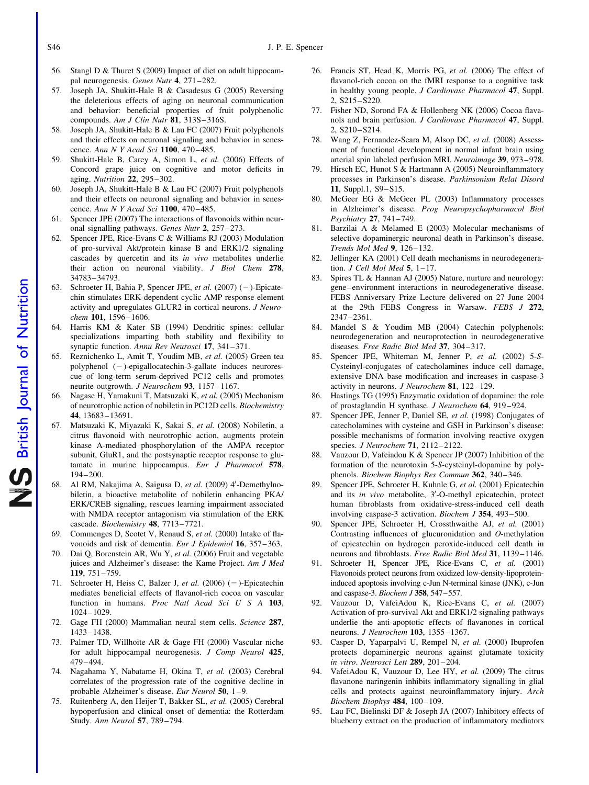- 56. Stangl D & Thuret S (2009) Impact of diet on adult hippocampal neurogenesis. Genes Nutr 4, 271–282.
- 57. Joseph JA, Shukitt-Hale B & Casadesus G (2005) Reversing the deleterious effects of aging on neuronal communication and behavior: beneficial properties of fruit polyphenolic compounds. Am J Clin Nutr 81, 313S–316S.
- 58. Joseph JA, Shukitt-Hale B & Lau FC (2007) Fruit polyphenols and their effects on neuronal signaling and behavior in senescence. Ann N Y Acad Sci 1100, 470–485.
- 59. Shukitt-Hale B, Carey A, Simon L, et al. (2006) Effects of Concord grape juice on cognitive and motor deficits in aging. Nutrition 22, 295–302.
- 60. Joseph JA, Shukitt-Hale B & Lau FC (2007) Fruit polyphenols and their effects on neuronal signaling and behavior in senescence. Ann N Y Acad Sci 1100, 470–485.
- 61. Spencer JPE (2007) The interactions of flavonoids within neuronal signalling pathways. Genes Nutr 2, 257–273.
- 62. Spencer JPE, Rice-Evans C & Williams RJ (2003) Modulation of pro-survival Akt/protein kinase B and ERK1/2 signaling cascades by quercetin and its in vivo metabolites underlie their action on neuronal viability. J Biol Chem 278, 34783–34793.
- 63. Schroeter H, Bahia P, Spencer JPE, et al.  $(2007)$  (-)-Epicatechin stimulates ERK-dependent cyclic AMP response element activity and upregulates GLUR2 in cortical neurons. J Neurochem 101, 1596–1606.
- 64. Harris KM & Kater SB (1994) Dendritic spines: cellular specializations imparting both stability and flexibility to synaptic function. Annu Rev Neurosci 17, 341–371.
- 65. Reznichenko L, Amit T, Youdim MB, et al. (2005) Green tea polyphenol  $(-)$ -epigallocatechin-3-gallate induces neurorescue of long-term serum-deprived PC12 cells and promotes neurite outgrowth. J Neurochem 93, 1157–1167.
- 66. Nagase H, Yamakuni T, Matsuzaki K, et al. (2005) Mechanism of neurotrophic action of nobiletin in PC12D cells. Biochemistry 44, 13683–13691.
- 67. Matsuzaki K, Miyazaki K, Sakai S, et al. (2008) Nobiletin, a citrus flavonoid with neurotrophic action, augments protein kinase A-mediated phosphorylation of the AMPA receptor subunit, GluR1, and the postsynaptic receptor response to glutamate in murine hippocampus. Eur J Pharmacol 578, 194–200.
- 68. Al RM, Nakajima A, Saigusa D, et al. (2009) 4'-Demethylnobiletin, a bioactive metabolite of nobiletin enhancing PKA/ ERK/CREB signaling, rescues learning impairment associated with NMDA receptor antagonism via stimulation of the ERK cascade. Biochemistry 48, 7713–7721.
- 69. Commenges D, Scotet V, Renaud S, et al. (2000) Intake of flavonoids and risk of dementia. Eur J Epidemiol 16, 357-363.
- 70. Dai Q, Borenstein AR, Wu Y, et al. (2006) Fruit and vegetable juices and Alzheimer's disease: the Kame Project. Am J Med 119, 751–759.
- 71. Schroeter H, Heiss C, Balzer J, et al. (2006) (-)-Epicatechin mediates beneficial effects of flavanol-rich cocoa on vascular function in humans. Proc Natl Acad Sci U S A 103, 1024–1029.
- 72. Gage FH (2000) Mammalian neural stem cells. Science 287, 1433–1438.
- 73. Palmer TD, Willhoite AR & Gage FH (2000) Vascular niche for adult hippocampal neurogenesis. J Comp Neurol 425, 479–494.
- 74. Nagahama Y, Nabatame H, Okina T, et al. (2003) Cerebral correlates of the progression rate of the cognitive decline in probable Alzheimer's disease. Eur Neurol 50, 1–9.
- 75. Ruitenberg A, den Heijer T, Bakker SL, et al. (2005) Cerebral hypoperfusion and clinical onset of dementia: the Rotterdam Study. Ann Neurol 57, 789–794.
- 76. Francis ST, Head K, Morris PG, et al. (2006) The effect of flavanol-rich cocoa on the fMRI response to a cognitive task in healthy young people. J Cardiovasc Pharmacol 47, Suppl. 2, S215–S220.
- 77. Fisher ND, Sorond FA & Hollenberg NK (2006) Cocoa flavanols and brain perfusion. J Cardiovasc Pharmacol 47, Suppl. 2, S210–S214.
- 78. Wang Z, Fernandez-Seara M, Alsop DC, et al. (2008) Assessment of functional development in normal infant brain using arterial spin labeled perfusion MRI. Neuroimage 39, 973–978.
- 79. Hirsch EC, Hunot S & Hartmann A (2005) Neuroinflammatory processes in Parkinson's disease. Parkinsonism Relat Disord 11, Suppl.1, S9–S15.
- 80. McGeer EG & McGeer PL (2003) Inflammatory processes in Alzheimer's disease. Prog Neuropsychopharmacol Biol Psychiatry 27, 741–749.
- 81. Barzilai A & Melamed E (2003) Molecular mechanisms of selective dopaminergic neuronal death in Parkinson's disease. Trends Mol Med 9, 126–132.
- 82. Jellinger KA (2001) Cell death mechanisms in neurodegeneration. J Cell Mol Med  $5$ , 1-17.
- 83. Spires TL & Hannan AJ (2005) Nature, nurture and neurology: gene–environment interactions in neurodegenerative disease. FEBS Anniversary Prize Lecture delivered on 27 June 2004 at the 29th FEBS Congress in Warsaw. FEBS J 272, 2347–2361.
- 84. Mandel S & Youdim MB (2004) Catechin polyphenols: neurodegeneration and neuroprotection in neurodegenerative diseases. Free Radic Biol Med 37, 304–317.
- 85. Spencer JPE, Whiteman M, Jenner P, et al. (2002) 5-S-Cysteinyl-conjugates of catecholamines induce cell damage, extensive DNA base modification and increases in caspase-3 activity in neurons. J Neurochem 81, 122–129.
- 86. Hastings TG (1995) Enzymatic oxidation of dopamine: the role of prostaglandin H synthase. J Neurochem 64, 919–924.
- 87. Spencer JPE, Jenner P, Daniel SE, et al. (1998) Conjugates of catecholamines with cysteine and GSH in Parkinson's disease: possible mechanisms of formation involving reactive oxygen species. J Neurochem 71, 2112–2122.
- 88. Vauzour D, Vafeiadou K & Spencer JP (2007) Inhibition of the formation of the neurotoxin 5-S-cysteinyl-dopamine by polyphenols. Biochem Biophys Res Commun 362, 340–346.
- 89. Spencer JPE, Schroeter H, Kuhnle G, et al. (2001) Epicatechin and its in vivo metabolite, 3'-O-methyl epicatechin, protect human fibroblasts from oxidative-stress-induced cell death involving caspase-3 activation. Biochem J 354, 493–500.
- 90. Spencer JPE, Schroeter H, Crossthwaithe AJ, et al. (2001) Contrasting influences of glucuronidation and O-methylation of epicatechin on hydrogen peroxide-induced cell death in neurons and fibroblasts. Free Radic Biol Med 31, 1139–1146.
- 91. Schroeter H, Spencer JPE, Rice-Evans C, et al. (2001) Flavonoids protect neurons from oxidized low-density-lipoproteininduced apoptosis involving c-Jun N-terminal kinase (JNK), c-Jun and caspase-3. Biochem J 358, 547–557.
- 92. Vauzour D, VafeiAdou K, Rice-Evans C, et al. (2007) Activation of pro-survival Akt and ERK1/2 signaling pathways underlie the anti-apoptotic effects of flavanones in cortical neurons. J Neurochem 103, 1355–1367.
- 93. Casper D, Yaparpalvi U, Rempel N, et al. (2000) Ibuprofen protects dopaminergic neurons against glutamate toxicity in vitro. Neurosci Lett 289, 201–204.
- 94. VafeiAdou K, Vauzour D, Lee HY, et al. (2009) The citrus flavanone naringenin inhibits inflammatory signalling in glial cells and protects against neuroinflammatory injury. Arch Biochem Biophys 484, 100–109.
- 95. Lau FC, Bielinski DF & Joseph JA (2007) Inhibitory effects of blueberry extract on the production of inflammatory mediators